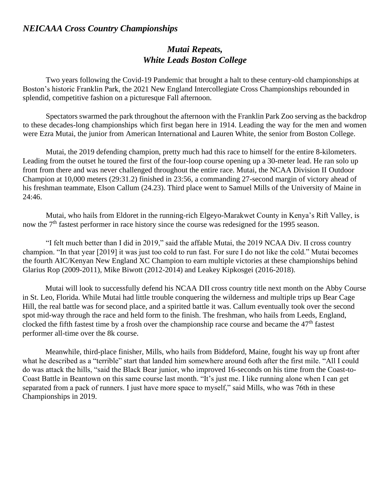## *NEICAAA Cross Country Championships*

## *Mutai Repeats, White Leads Boston College*

Two years following the Covid-19 Pandemic that brought a halt to these century-old championships at Boston's historic Franklin Park, the 2021 New England Intercollegiate Cross Championships rebounded in splendid, competitive fashion on a picturesque Fall afternoon.

Spectators swarmed the park throughout the afternoon with the Franklin Park Zoo serving as the backdrop to these decades-long championships which first began here in 1914. Leading the way for the men and women were Ezra Mutai, the junior from American International and Lauren White, the senior from Boston College.

Mutai, the 2019 defending champion, pretty much had this race to himself for the entire 8-kilometers. Leading from the outset he toured the first of the four-loop course opening up a 30-meter lead. He ran solo up front from there and was never challenged throughout the entire race. Mutai, the NCAA Division II Outdoor Champion at 10,000 meters (29:31.2) finished in 23:56, a commanding 27-second margin of victory ahead of his freshman teammate, Elson Callum (24.23). Third place went to Samuel Mills of the University of Maine in 24:46.

Mutai, who hails from Eldoret in the running-rich Elgeyo-Marakwet County in Kenya's Rift Valley, is now the 7<sup>th</sup> fastest performer in race history since the course was redesigned for the 1995 season.

"I felt much better than I did in 2019," said the affable Mutai, the 2019 NCAA Div. II cross country champion. "In that year [2019] it was just too cold to run fast. For sure I do not like the cold." Mutai becomes the fourth AIC/Kenyan New England XC Champion to earn multiple victories at these championships behind Glarius Rop (2009-2011), Mike Biwott (2012-2014) and Leakey Kipkosgei (2016-2018).

Mutai will look to successfully defend his NCAA DII cross country title next month on the Abby Course in St. Leo, Florida. While Mutai had little trouble conquering the wilderness and multiple trips up Bear Cage Hill, the real battle was for second place, and a spirited battle it was. Callum eventually took over the second spot mid-way through the race and held form to the finish. The freshman, who hails from Leeds, England, clocked the fifth fastest time by a frosh over the championship race course and became the 47<sup>th</sup> fastest performer all-time over the 8k course.

Meanwhile, third-place finisher, Mills, who hails from Biddeford, Maine, fought his way up front after what he described as a "terrible" start that landed him somewhere around 6oth after the first mile. "All I could do was attack the hills, "said the Black Bear junior, who improved 16-seconds on his time from the Coast-to-Coast Battle in Beantown on this same course last month. "It's just me. I like running alone when I can get separated from a pack of runners. I just have more space to myself," said Mills, who was 76th in these Championships in 2019.